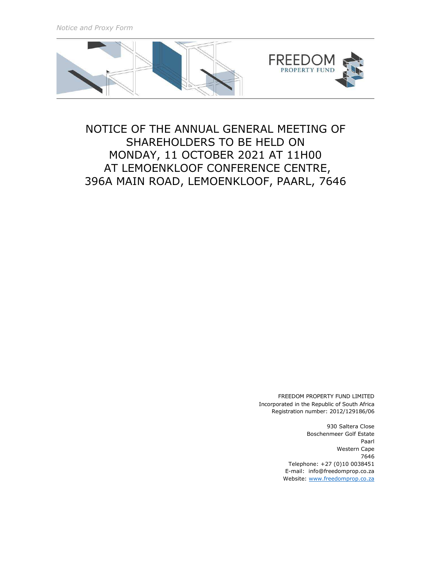*Notice and Proxy Form* 



# NOTICE OF THE ANNUAL GENERAL MEETING OF SHAREHOLDERS TO BE HELD ON MONDAY, 11 OCTOBER 2021 AT 11H00 AT LEMOENKLOOF CONFERENCE CENTRE, 396A MAIN ROAD, LEMOENKLOOF, PAARL, 7646

FREEDOM PROPERTY FUND LIMITED Incorporated in the Republic of South Africa Registration number: 2012/129186/06

> 930 Saltera Close Boschenmeer Golf Estate Paarl Western Cape 7646 Telephone: +27 (0)10 0038451 E-mail: info@freedomprop.co.za Website: www.freedomprop.co.za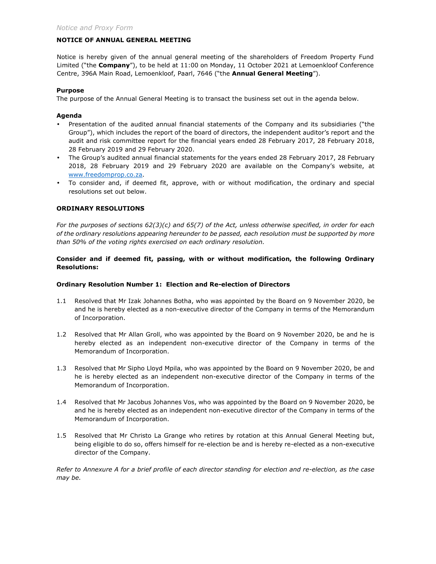# **NOTICE OF ANNUAL GENERAL MEETING**

Notice is hereby given of the annual general meeting of the shareholders of Freedom Property Fund Limited ("the **Company**"), to be held at 11:00 on Monday, 11 October 2021 at Lemoenkloof Conference Centre, 396A Main Road, Lemoenkloof, Paarl, 7646 ("the **Annual General Meeting**").

#### **Purpose**

The purpose of the Annual General Meeting is to transact the business set out in the agenda below.

## **Agenda**

- Presentation of the audited annual financial statements of the Company and its subsidiaries ("the Group"), which includes the report of the board of directors, the independent auditor's report and the audit and risk committee report for the financial years ended 28 February 2017, 28 February 2018, 28 February 2019 and 29 February 2020.
- The Group's audited annual financial statements for the years ended 28 February 2017, 28 February 2018, 28 February 2019 and 29 February 2020 are available on the Company's website, at www.freedomprop.co.za.
- To consider and, if deemed fit, approve, with or without modification, the ordinary and special resolutions set out below.

# **ORDINARY RESOLUTIONS**

*For the purposes of sections 62(3)(c) and 65(7) of the Act, unless otherwise specified, in order for each of the ordinary resolutions appearing hereunder to be passed, each resolution must be supported by more than 50% of the voting rights exercised on each ordinary resolution.* 

# **Consider and if deemed fit, passing, with or without modification, the following Ordinary Resolutions:**

## **Ordinary Resolution Number 1: Election and Re-election of Directors**

- 1.1 Resolved that Mr Izak Johannes Botha, who was appointed by the Board on 9 November 2020, be and he is hereby elected as a non-executive director of the Company in terms of the Memorandum of Incorporation.
- 1.2 Resolved that Mr Allan Groll, who was appointed by the Board on 9 November 2020, be and he is hereby elected as an independent non-executive director of the Company in terms of the Memorandum of Incorporation.
- 1.3 Resolved that Mr Sipho Lloyd Mpila, who was appointed by the Board on 9 November 2020, be and he is hereby elected as an independent non-executive director of the Company in terms of the Memorandum of Incorporation.
- 1.4 Resolved that Mr Jacobus Johannes Vos, who was appointed by the Board on 9 November 2020, be and he is hereby elected as an independent non-executive director of the Company in terms of the Memorandum of Incorporation.
- 1.5 Resolved that Mr Christo La Grange who retires by rotation at this Annual General Meeting but, being eligible to do so, offers himself for re-election be and is hereby re-elected as a non-executive director of the Company.

*Refer to Annexure A for a brief profile of each director standing for election and re-election, as the case may be.*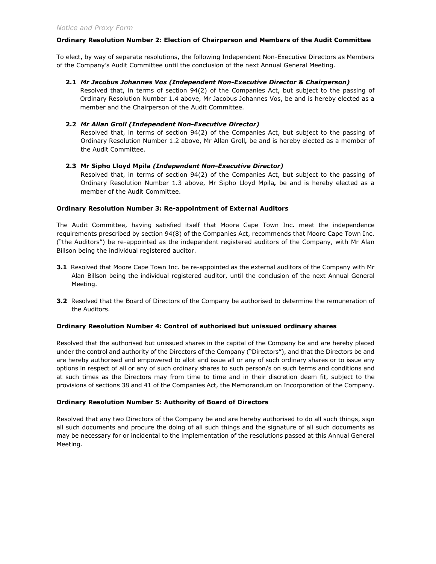#### **Ordinary Resolution Number 2: Election of Chairperson and Members of the Audit Committee**

To elect, by way of separate resolutions, the following Independent Non-Executive Directors as Members of the Company's Audit Committee until the conclusion of the next Annual General Meeting.

#### **2.1** *Mr Jacobus Johannes Vos (Independent Non-Executive Director & Chairperson)*

Resolved that, in terms of section 94(2) of the Companies Act, but subject to the passing of Ordinary Resolution Number 1.4 above, Mr Jacobus Johannes Vos, be and is hereby elected as a member and the Chairperson of the Audit Committee.

# **2.2** *Mr Allan Groll (Independent Non-Executive Director)*

Resolved that, in terms of section 94(2) of the Companies Act, but subject to the passing of Ordinary Resolution Number 1.2 above, Mr Allan Groll*,* be and is hereby elected as a member of the Audit Committee.

# **2.3 Mr Sipho Lloyd Mpila** *(Independent Non-Executive Director)*

Resolved that, in terms of section 94(2) of the Companies Act, but subject to the passing of Ordinary Resolution Number 1.3 above, Mr Sipho Lloyd Mpila*,* be and is hereby elected as a member of the Audit Committee.

#### **Ordinary Resolution Number 3: Re-appointment of External Auditors**

The Audit Committee, having satisfied itself that Moore Cape Town Inc. meet the independence requirements prescribed by section 94(8) of the Companies Act, recommends that Moore Cape Town Inc. ("the Auditors") be re-appointed as the independent registered auditors of the Company, with Mr Alan Billson being the individual registered auditor.

- **3.1** Resolved that Moore Cape Town Inc. be re-appointed as the external auditors of the Company with Mr Alan Billson being the individual registered auditor, until the conclusion of the next Annual General Meeting.
- **3.2** Resolved that the Board of Directors of the Company be authorised to determine the remuneration of the Auditors.

#### **Ordinary Resolution Number 4: Control of authorised but unissued ordinary shares**

Resolved that the authorised but unissued shares in the capital of the Company be and are hereby placed under the control and authority of the Directors of the Company ("Directors"), and that the Directors be and are hereby authorised and empowered to allot and issue all or any of such ordinary shares or to issue any options in respect of all or any of such ordinary shares to such person/s on such terms and conditions and at such times as the Directors may from time to time and in their discretion deem fit, subject to the provisions of sections 38 and 41 of the Companies Act, the Memorandum on Incorporation of the Company.

#### **Ordinary Resolution Number 5: Authority of Board of Directors**

Resolved that any two Directors of the Company be and are hereby authorised to do all such things, sign all such documents and procure the doing of all such things and the signature of all such documents as may be necessary for or incidental to the implementation of the resolutions passed at this Annual General Meeting.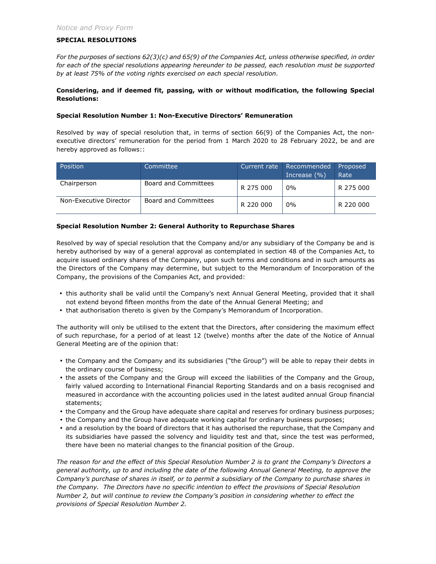#### **SPECIAL RESOLUTIONS**

*For the purposes of sections 62(3)(c) and 65(9) of the Companies Act, unless otherwise specified, in order for each of the special resolutions appearing hereunder to be passed, each resolution must be supported by at least 75% of the voting rights exercised on each special resolution.* 

# **Considering, and if deemed fit, passing, with or without modification, the following Special Resolutions:**

## **Special Resolution Number 1: Non-Executive Directors' Remuneration**

Resolved by way of special resolution that, in terms of section 66(9) of the Companies Act, the nonexecutive directors' remuneration for the period from 1 March 2020 to 28 February 2022, be and are hereby approved as follows::

| Position               | Committee                   | Current rate | Recommended<br>Increase $(\% )$ | <b>Proposed</b><br>Rate |
|------------------------|-----------------------------|--------------|---------------------------------|-------------------------|
| Chairperson            | Board and Committees        | R 275 000    | $0\%$                           | R 275 000               |
| Non-Executive Director | <b>Board and Committees</b> | R 220 000    | $0\%$                           | R 220 000               |

#### **Special Resolution Number 2: General Authority to Repurchase Shares**

Resolved by way of special resolution that the Company and/or any subsidiary of the Company be and is hereby authorised by way of a general approval as contemplated in section 48 of the Companies Act, to acquire issued ordinary shares of the Company, upon such terms and conditions and in such amounts as the Directors of the Company may determine, but subject to the Memorandum of Incorporation of the Company, the provisions of the Companies Act, and provided:

- this authority shall be valid until the Company's next Annual General Meeting, provided that it shall not extend beyond fifteen months from the date of the Annual General Meeting; and
- that authorisation thereto is given by the Company's Memorandum of Incorporation.

The authority will only be utilised to the extent that the Directors, after considering the maximum effect of such repurchase, for a period of at least 12 (twelve) months after the date of the Notice of Annual General Meeting are of the opinion that:

- the Company and the Company and its subsidiaries ("the Group") will be able to repay their debts in the ordinary course of business;
- the assets of the Company and the Group will exceed the liabilities of the Company and the Group, fairly valued according to International Financial Reporting Standards and on a basis recognised and measured in accordance with the accounting policies used in the latest audited annual Group financial statements;
- the Company and the Group have adequate share capital and reserves for ordinary business purposes;
- the Company and the Group have adequate working capital for ordinary business purposes;
- and a resolution by the board of directors that it has authorised the repurchase, that the Company and its subsidiaries have passed the solvency and liquidity test and that, since the test was performed, there have been no material changes to the financial position of the Group.

*The reason for and the effect of this Special Resolution Number 2 is to grant the Company's Directors a general authority, up to and including the date of the following Annual General Meeting, to approve the Company's purchase of shares in itself, or to permit a subsidiary of the Company to purchase shares in the Company. The Directors have no specific intention to effect the provisions of Special Resolution Number 2, but will continue to review the Company's position in considering whether to effect the provisions of Special Resolution Number 2.*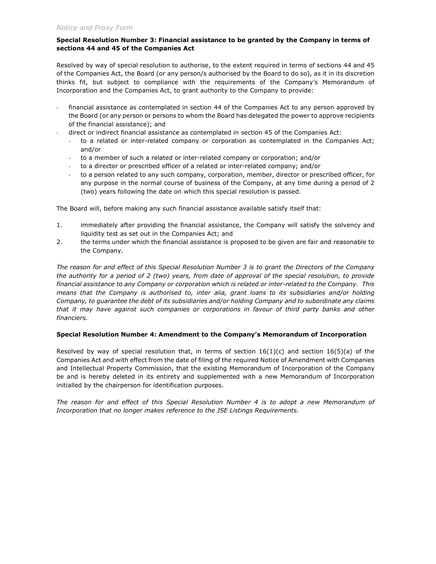# *Notice and Proxy Form*

# **Special Resolution Number 3: Financial assistance to be granted by the Company in terms of sections 44 and 45 of the Companies Act**

Resolved by way of special resolution to authorise, to the extent required in terms of sections 44 and 45 of the Companies Act, the Board (or any person/s authorised by the Board to do so), as it in its discretion thinks fit, but subject to compliance with the requirements of the Company's Memorandum of Incorporation and the Companies Act, to grant authority to the Company to provide:

- financial assistance as contemplated in section 44 of the Companies Act to any person approved by the Board (or any person or persons to whom the Board has delegated the power to approve recipients of the financial assistance); and
- direct or indirect financial assistance as contemplated in section 45 of the Companies Act:
	- to a related or inter-related company or corporation as contemplated in the Companies Act; and/or
	- to a member of such a related or inter-related company or corporation; and/or
	- to a director or prescribed officer of a related or inter-related company; and/or
	- to a person related to any such company, corporation, member, director or prescribed officer, for any purpose in the normal course of business of the Company, at any time during a period of 2 (two) years following the date on which this special resolution is passed.

The Board will, before making any such financial assistance available satisfy itself that:

- 1. immediately after providing the financial assistance, the Company will satisfy the solvency and liquidity test as set out in the Companies Act; and
- 2. the terms under which the financial assistance is proposed to be given are fair and reasonable to the Company.

*The reason for and effect of this Special Resolution Number 3 is to grant the Directors of the Company the authority for a period of 2 (two) years, from date of approval of the special resolution, to provide financial assistance to any Company or corporation which is related or inter-related to the Company. This means that the Company is authorised to, inter alia, grant loans to its subsidiaries and/or holding Company, to guarantee the debt of its subsidiaries and/or holding Company and to subordinate any claims that it may have against such companies or corporations in favour of third party banks and other financiers.* 

# **Special Resolution Number 4: Amendment to the Company's Memorandum of Incorporation**

Resolved by way of special resolution that, in terms of section  $16(1)(c)$  and section  $16(5)(a)$  of the Companies Act and with effect from the date of filing of the required Notice of Amendment with Companies and Intellectual Property Commission, that the existing Memorandum of Incorporation of the Company be and is hereby deleted in its entirety and supplemented with a new Memorandum of Incorporation initialled by the chairperson for identification purposes.

*The reason for and effect of this Special Resolution Number 4 is to adopt a new Memorandum of Incorporation that no longer makes reference to the JSE Listings Requirements.*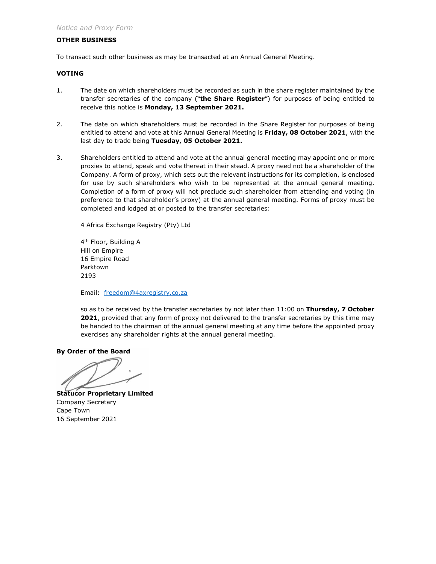# **OTHER BUSINESS**

To transact such other business as may be transacted at an Annual General Meeting.

#### **VOTING**

- 1. The date on which shareholders must be recorded as such in the share register maintained by the transfer secretaries of the company ("**the Share Register**") for purposes of being entitled to receive this notice is **Monday, 13 September 2021.**
- 2. The date on which shareholders must be recorded in the Share Register for purposes of being entitled to attend and vote at this Annual General Meeting is **Friday, 08 October 2021**, with the last day to trade being **Tuesday, 05 October 2021.**
- 3. Shareholders entitled to attend and vote at the annual general meeting may appoint one or more proxies to attend, speak and vote thereat in their stead. A proxy need not be a shareholder of the Company. A form of proxy, which sets out the relevant instructions for its completion, is enclosed for use by such shareholders who wish to be represented at the annual general meeting. Completion of a form of proxy will not preclude such shareholder from attending and voting (in preference to that shareholder's proxy) at the annual general meeting. Forms of proxy must be completed and lodged at or posted to the transfer secretaries:

4 Africa Exchange Registry (Pty) Ltd

4<sup>th</sup> Floor, Building A Hill on Empire 16 Empire Road Parktown 2193

Email: freedom@4axregistry.co.za

so as to be received by the transfer secretaries by not later than 11:00 on **Thursday, 7 October 2021**, provided that any form of proxy not delivered to the transfer secretaries by this time may be handed to the chairman of the annual general meeting at any time before the appointed proxy exercises any shareholder rights at the annual general meeting.

**By Order of the Board** 

**Statucor Proprietary Limited**  Company Secretary Cape Town 16 September 2021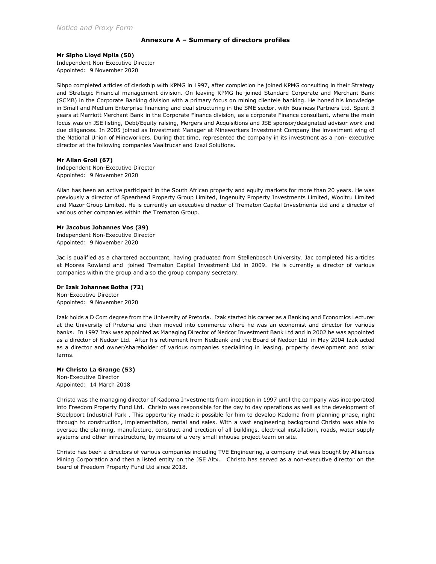#### **Annexure A – Summary of directors profiles**

**Mr Sipho Lloyd Mpila (50)** 

Independent Non-Executive Director Appointed: 9 November 2020

Sihpo completed articles of clerkship with KPMG in 1997, after completion he joined KPMG consulting in their Strategy and Strategic Financial management division. On leaving KPMG he joined Standard Corporate and Merchant Bank (SCMB) in the Corporate Banking division with a primary focus on mining clientele banking. He honed his knowledge in Small and Medium Enterprise financing and deal structuring in the SME sector, with Business Partners Ltd. Spent 3 years at Marriott Merchant Bank in the Corporate Finance division, as a corporate Finance consultant, where the main focus was on JSE listing, Debt/Equity raising, Mergers and Acquisitions and JSE sponsor/designated advisor work and due diligences. In 2005 joined as Investment Manager at Mineworkers Investment Company the investment wing of the National Union of Mineworkers. During that time, represented the company in its investment as a non- executive director at the following companies Vaaltrucar and Izazi Solutions.

#### **Mr Allan Groll (67)**

Independent Non-Executive Director Appointed: 9 November 2020

Allan has been an active participant in the South African property and equity markets for more than 20 years. He was previously a director of Spearhead Property Group Limited, Ingenuity Property Investments Limited, Wooltru Limited and Mazor Group Limited. He is currently an executive director of Trematon Capital Investments Ltd and a director of various other companies within the Trematon Group.

#### **Mr Jacobus Johannes Vos (39)**

Independent Non-Executive Director Appointed: 9 November 2020

Jac is qualified as a chartered accountant, having graduated from Stellenbosch University. Jac completed his articles at Moores Rowland and joined Trematon Capital Investment Ltd in 2009. He is currently a director of various companies within the group and also the group company secretary.

#### **Dr Izak Johannes Botha (72)**

Non-Executive Director Appointed: 9 November 2020

Izak holds a D Com degree from the University of Pretoria. Izak started his career as a Banking and Economics Lecturer at the University of Pretoria and then moved into commerce where he was an economist and director for various banks. In 1997 Izak was appointed as Managing Director of Nedcor Investment Bank Ltd and in 2002 he was appointed as a director of Nedcor Ltd. After his retirement from Nedbank and the Board of Nedcor Ltd in May 2004 Izak acted as a director and owner/shareholder of various companies specializing in leasing, property development and solar farms.

#### **Mr Christo La Grange (53)**

Non-Executive Director Appointed: 14 March 2018

Christo was the managing director of Kadoma Investments from inception in 1997 until the company was incorporated into Freedom Property Fund Ltd. Christo was responsible for the day to day operations as well as the development of Steelpoort Industrial Park . This opportunity made it possible for him to develop Kadoma from planning phase, right through to construction, implementation, rental and sales. With a vast engineering background Christo was able to oversee the planning, manufacture, construct and erection of all buildings, electrical installation, roads, water supply systems and other infrastructure, by means of a very small inhouse project team on site.

Christo has been a directors of various companies including TVE Engineering, a company that was bought by Alliances Mining Corporation and then a listed entity on the JSE Altx. Christo has served as a non-executive director on the board of Freedom Property Fund Ltd since 2018.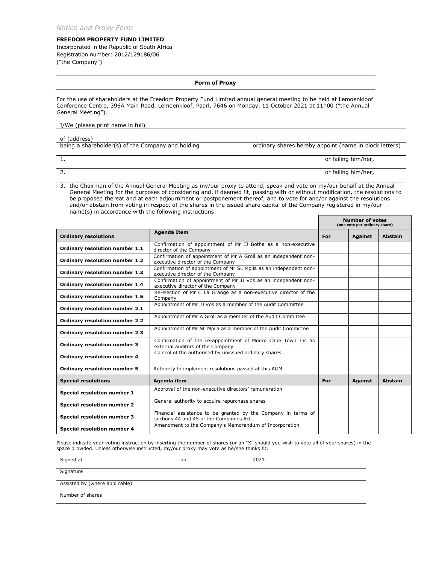#### **FREEDOM PROPERTY FUND LIMITED**

Incorporated in the Republic of South Africa Registration number: 2012/129186/06 ("the Company")

#### **Form of Proxy**

For the use of shareholders at the Freedom Property Fund Limited annual general meeting to be held at Lemoenkloof Conference Centre, 396A Main Road, Lemoenkloof, Paarl, 7646 on Monday, 11 October 2021 at 11h00 ("the Annual General Meeting").

#### I/We (please print name in full)

of (address)<br>being a shareholder(s) of the Company and holding ordinary shares hereby appoint (name in block letters)

1. or failing him/her,

2. or failing him/her,

3. the Chairman of the Annual General Meeting as my/our proxy to attend, speak and vote on my/our behalf at the Annual General Meeting for the purposes of considering and, if deemed fit, passing with or without modification, the resolutions to be proposed thereat and at each adjournment or postponement thereof, and to vote for and/or against the resolutions and/or abstain from voting in respect of the shares in the issued share capital of the Company registered in my/our name(s) in accordance with the following instructions

|                                     |                                                                                                          | <b>Number of votes</b><br>(one vote per ordinary share) |                |                |
|-------------------------------------|----------------------------------------------------------------------------------------------------------|---------------------------------------------------------|----------------|----------------|
| <b>Ordinary resolutions</b>         | <b>Agenda Item</b>                                                                                       | For                                                     | <b>Against</b> | <b>Abstain</b> |
| Ordinary resolution number 1.1      | Confirmation of appointment of Mr IJ Botha as a non-executive<br>director of the Company                 |                                                         |                |                |
| Ordinary resolution number 1.2      | Confirmation of appointment of Mr A Groll as an independent non-<br>executive director of the Company    |                                                         |                |                |
| Ordinary resolution number 1.3      | Confirmation of appointment of Mr SL Mpila as an independent non-<br>executive director of the Company   |                                                         |                |                |
| Ordinary resolution number 1.4      | Confirmation of appointment of Mr JJ Vos as an independent non-<br>executive director of the Company     |                                                         |                |                |
| Ordinary resolution number 1.5      | Re-election of Mr C La Grange as a non-executive director of the<br>Company                              |                                                         |                |                |
| Ordinary resolution number 2.1      | Appointment of Mr JJ Vos as a member of the Audit Committee                                              |                                                         |                |                |
| Ordinary resolution number 2.2      | Appointment of Mr A Groll as a member of the Audit Committee                                             |                                                         |                |                |
| Ordinary resolution number 2.3      | Appointment of Mr SL Mpila as a member of the Audit Committee                                            |                                                         |                |                |
| <b>Ordinary resolution number 3</b> | Confirmation of the re-appointment of Moore Cape Town Inc as<br>external auditors of the Company         |                                                         |                |                |
| <b>Ordinary resolution number 4</b> | Control of the authorised by unissued ordinary shares                                                    |                                                         |                |                |
| <b>Ordinary resolution number 5</b> | Authority to implement resolutions passed at this AGM                                                    |                                                         |                |                |
| <b>Special resolutions</b>          | Agenda item                                                                                              | For                                                     | <b>Against</b> | <b>Abstain</b> |
| Special resolution number 1         | Approval of the non-executive directors' remuneration                                                    |                                                         |                |                |
| Special resolution number 2         | General authority to acquire repurchase shares                                                           |                                                         |                |                |
| Special resolution number 3         | Financial assistance to be granted by the Company in terms of<br>sections 44 and 45 of the Companies Act |                                                         |                |                |
| Special resolution number 4         | Amendment to the Company's Memorandum of Incorporation                                                   |                                                         |                |                |

Please indicate your voting instruction by inserting the number of shares (or an "X" should you wish to vote all of your shares) in the space provided. Unless otherwise instructed, my/our proxy may vote as he/she thinks fit.

Signed at on 2021.

**Signature** 

Assisted by (where applicable)

Number of shares